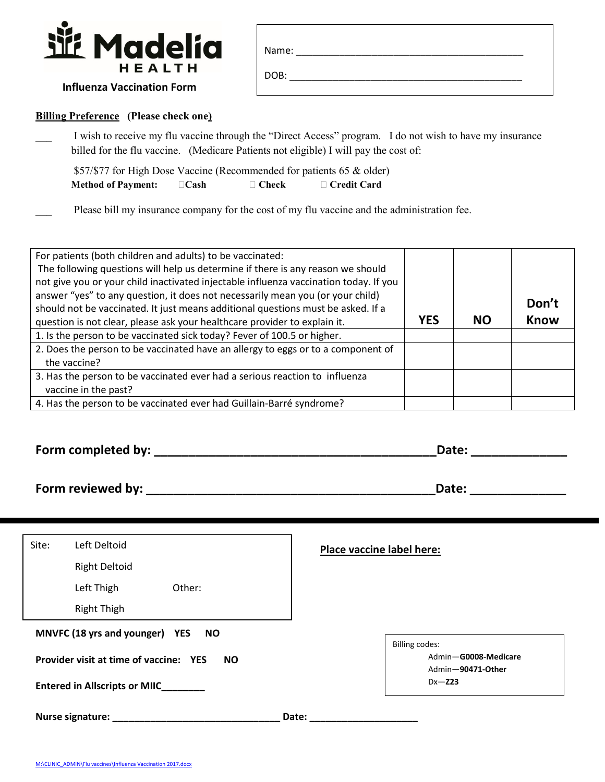

| Name: |  |
|-------|--|
| DOB:  |  |

## **Influenza Vaccination Form**

## **Billing Preference (Please check one)**

**\_\_\_** I wish to receive my flu vaccine through the "Direct Access" program. I do not wish to have my insurance billed for the flu vaccine. (Medicare Patients not eligible) I will pay the cost of:

\$57/\$77 for High Dose Vaccine (Recommended for patients 65 & older) **Method of Payment:**  $\Box$  Cash  $\Box$  Check  $\Box$  Credit Card

Please bill my insurance company for the cost of my flu vaccine and the administration fee.

| For patients (both children and adults) to be vaccinated:<br>The following questions will help us determine if there is any reason we should<br>not give you or your child inactivated injectable influenza vaccination today. If you<br>answer "yes" to any question, it does not necessarily mean you (or your child)<br>should not be vaccinated. It just means additional questions must be asked. If a |            |           | Don't       |
|-------------------------------------------------------------------------------------------------------------------------------------------------------------------------------------------------------------------------------------------------------------------------------------------------------------------------------------------------------------------------------------------------------------|------------|-----------|-------------|
| question is not clear, please ask your healthcare provider to explain it.                                                                                                                                                                                                                                                                                                                                   | <b>YES</b> | <b>NO</b> | <b>Know</b> |
| 1. Is the person to be vaccinated sick today? Fever of 100.5 or higher.                                                                                                                                                                                                                                                                                                                                     |            |           |             |
| 2. Does the person to be vaccinated have an allergy to eggs or to a component of                                                                                                                                                                                                                                                                                                                            |            |           |             |
| the vaccine?                                                                                                                                                                                                                                                                                                                                                                                                |            |           |             |
| 3. Has the person to be vaccinated ever had a serious reaction to influenza                                                                                                                                                                                                                                                                                                                                 |            |           |             |
| vaccine in the past?                                                                                                                                                                                                                                                                                                                                                                                        |            |           |             |
| 4. Has the person to be vaccinated ever had Guillain-Barré syndrome?                                                                                                                                                                                                                                                                                                                                        |            |           |             |

| Form completed by: |  |  |  |
|--------------------|--|--|--|
|--------------------|--|--|--|

**Form complete:**  $\blacksquare$ 

**Pate: \_\_\_\_\_\_\_\_\_\_\_\_\_\_\_\_\_** 

| Form reviewed by: |  |
|-------------------|--|

| Site: | Left Deltoid                           |           | <b>Place vaccine label here:</b>                                   |
|-------|----------------------------------------|-----------|--------------------------------------------------------------------|
|       | <b>Right Deltoid</b>                   |           |                                                                    |
|       | Left Thigh                             | Other:    |                                                                    |
|       | <b>Right Thigh</b>                     |           |                                                                    |
|       | MNVFC (18 yrs and younger) YES         | <b>NO</b> |                                                                    |
|       | Provider visit at time of vaccine: YES | <b>NO</b> | <b>Billing codes:</b><br>Admin-G0008-Medicare<br>Admin-90471-Other |
|       | <b>Entered in Allscripts or MIIC</b>   |           | $Dx - Z23$                                                         |
|       | <b>Nurse signature:</b>                |           | Date:                                                              |